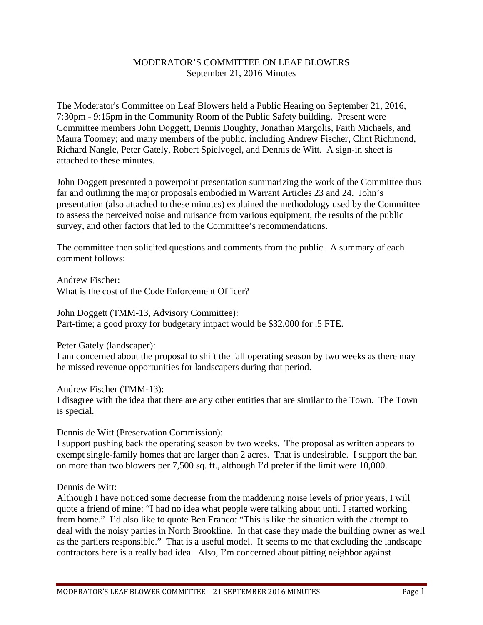# MODERATOR'S COMMITTEE ON LEAF BLOWERS September 21, 2016 Minutes

The Moderator's Committee on Leaf Blowers held a Public Hearing on September 21, 2016, 7:30pm - 9:15pm in the Community Room of the Public Safety building. Present were Committee members John Doggett, Dennis Doughty, Jonathan Margolis, Faith Michaels, and Maura Toomey; and many members of the public, including Andrew Fischer, Clint Richmond, Richard Nangle, Peter Gately, Robert Spielvogel, and Dennis de Witt. A sign-in sheet is attached to these minutes.

John Doggett presented a powerpoint presentation summarizing the work of the Committee thus far and outlining the major proposals embodied in Warrant Articles 23 and 24. John's presentation (also attached to these minutes) explained the methodology used by the Committee to assess the perceived noise and nuisance from various equipment, the results of the public survey, and other factors that led to the Committee's recommendations.

The committee then solicited questions and comments from the public. A summary of each comment follows:

Andrew Fischer: What is the cost of the Code Enforcement Officer?

John Doggett (TMM-13, Advisory Committee): Part-time; a good proxy for budgetary impact would be \$32,000 for .5 FTE.

Peter Gately (landscaper):

I am concerned about the proposal to shift the fall operating season by two weeks as there may be missed revenue opportunities for landscapers during that period.

Andrew Fischer (TMM-13):

I disagree with the idea that there are any other entities that are similar to the Town. The Town is special.

Dennis de Witt (Preservation Commission):

I support pushing back the operating season by two weeks. The proposal as written appears to exempt single-family homes that are larger than 2 acres. That is undesirable. I support the ban on more than two blowers per 7,500 sq. ft., although I'd prefer if the limit were 10,000.

Dennis de Witt:

Although I have noticed some decrease from the maddening noise levels of prior years, I will quote a friend of mine: "I had no idea what people were talking about until I started working from home." I'd also like to quote Ben Franco: "This is like the situation with the attempt to deal with the noisy parties in North Brookline. In that case they made the building owner as well as the partiers responsible." That is a useful model. It seems to me that excluding the landscape contractors here is a really bad idea. Also, I'm concerned about pitting neighbor against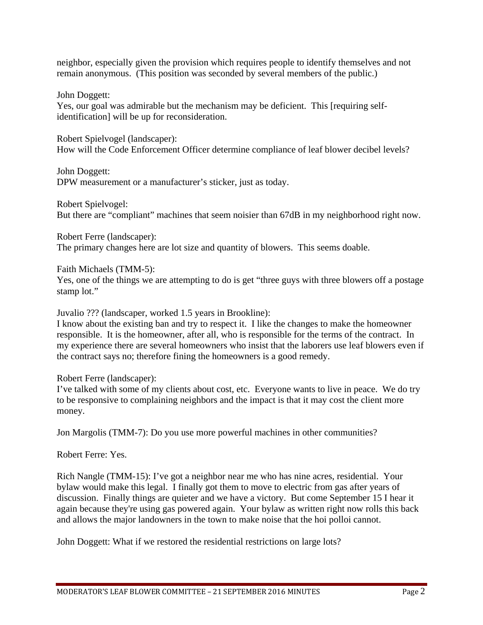neighbor, especially given the provision which requires people to identify themselves and not remain anonymous. (This position was seconded by several members of the public.)

John Doggett:

Yes, our goal was admirable but the mechanism may be deficient. This [requiring selfidentification] will be up for reconsideration.

Robert Spielvogel (landscaper): How will the Code Enforcement Officer determine compliance of leaf blower decibel levels?

John Doggett: DPW measurement or a manufacturer's sticker, just as today.

Robert Spielvogel: But there are "compliant" machines that seem noisier than 67dB in my neighborhood right now.

Robert Ferre (landscaper):

The primary changes here are lot size and quantity of blowers. This seems doable.

Faith Michaels (TMM-5):

Yes, one of the things we are attempting to do is get "three guys with three blowers off a postage stamp lot."

Juvalio ??? (landscaper, worked 1.5 years in Brookline):

I know about the existing ban and try to respect it. I like the changes to make the homeowner responsible. It is the homeowner, after all, who is responsible for the terms of the contract. In my experience there are several homeowners who insist that the laborers use leaf blowers even if the contract says no; therefore fining the homeowners is a good remedy.

Robert Ferre (landscaper):

I've talked with some of my clients about cost, etc. Everyone wants to live in peace. We do try to be responsive to complaining neighbors and the impact is that it may cost the client more money.

Jon Margolis (TMM-7): Do you use more powerful machines in other communities?

Robert Ferre: Yes.

Rich Nangle (TMM-15): I've got a neighbor near me who has nine acres, residential. Your bylaw would make this legal. I finally got them to move to electric from gas after years of discussion. Finally things are quieter and we have a victory. But come September 15 I hear it again because they're using gas powered again. Your bylaw as written right now rolls this back and allows the major landowners in the town to make noise that the hoi polloi cannot.

John Doggett: What if we restored the residential restrictions on large lots?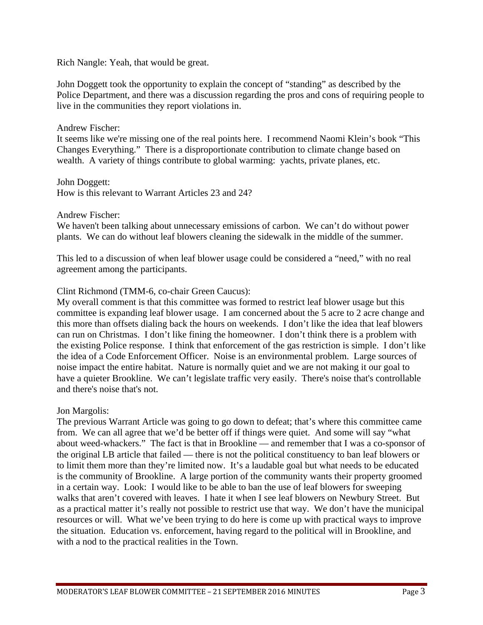Rich Nangle: Yeah, that would be great.

John Doggett took the opportunity to explain the concept of "standing" as described by the Police Department, and there was a discussion regarding the pros and cons of requiring people to live in the communities they report violations in.

### Andrew Fischer:

It seems like we're missing one of the real points here. I recommend Naomi Klein's book "This Changes Everything." There is a disproportionate contribution to climate change based on wealth. A variety of things contribute to global warming: yachts, private planes, etc.

#### John Doggett:

How is this relevant to Warrant Articles 23 and 24?

Andrew Fischer:

We haven't been talking about unnecessary emissions of carbon. We can't do without power plants. We can do without leaf blowers cleaning the sidewalk in the middle of the summer.

This led to a discussion of when leaf blower usage could be considered a "need," with no real agreement among the participants.

## Clint Richmond (TMM-6, co-chair Green Caucus):

My overall comment is that this committee was formed to restrict leaf blower usage but this committee is expanding leaf blower usage. I am concerned about the 5 acre to 2 acre change and this more than offsets dialing back the hours on weekends. I don't like the idea that leaf blowers can run on Christmas. I don't like fining the homeowner. I don't think there is a problem with the existing Police response. I think that enforcement of the gas restriction is simple. I don't like the idea of a Code Enforcement Officer. Noise is an environmental problem. Large sources of noise impact the entire habitat. Nature is normally quiet and we are not making it our goal to have a quieter Brookline. We can't legislate traffic very easily. There's noise that's controllable and there's noise that's not.

## Jon Margolis:

The previous Warrant Article was going to go down to defeat; that's where this committee came from. We can all agree that we'd be better off if things were quiet. And some will say "what about weed-whackers." The fact is that in Brookline — and remember that I was a co-sponsor of the original LB article that failed — there is not the political constituency to ban leaf blowers or to limit them more than they're limited now. It's a laudable goal but what needs to be educated is the community of Brookline. A large portion of the community wants their property groomed in a certain way. Look: I would like to be able to ban the use of leaf blowers for sweeping walks that aren't covered with leaves. I hate it when I see leaf blowers on Newbury Street. But as a practical matter it's really not possible to restrict use that way. We don't have the municipal resources or will. What we've been trying to do here is come up with practical ways to improve the situation. Education vs. enforcement, having regard to the political will in Brookline, and with a nod to the practical realities in the Town.